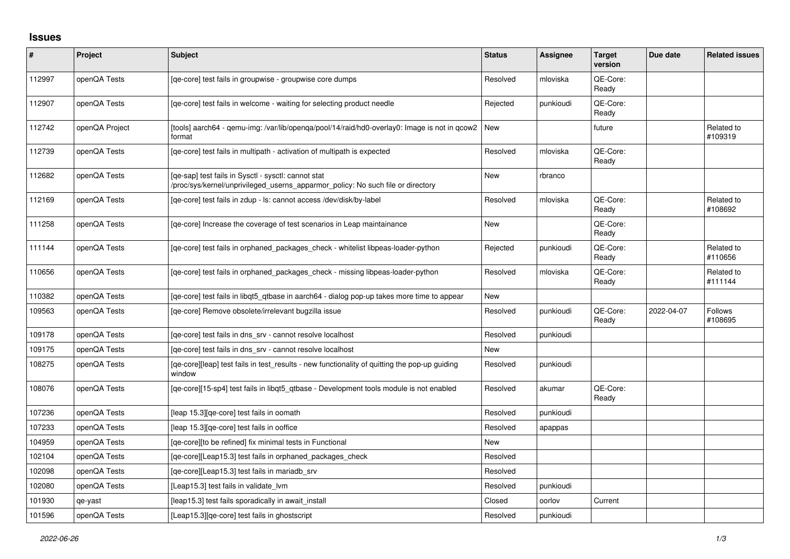## **Issues**

| $\vert$ # | Project        | Subject                                                                                                                                | <b>Status</b> | <b>Assignee</b> | <b>Target</b><br>version | Due date   | <b>Related issues</b>     |
|-----------|----------------|----------------------------------------------------------------------------------------------------------------------------------------|---------------|-----------------|--------------------------|------------|---------------------------|
| 112997    | openQA Tests   | [qe-core] test fails in groupwise - groupwise core dumps                                                                               | Resolved      | mloviska        | QE-Core:<br>Ready        |            |                           |
| 112907    | openQA Tests   | [ge-core] test fails in welcome - waiting for selecting product needle                                                                 | Rejected      | punkioudi       | QE-Core:<br>Ready        |            |                           |
| 112742    | openQA Project | [tools] aarch64 - qemu-img: /var/lib/openqa/pool/14/raid/hd0-overlay0: Image is not in qcow2<br>format                                 | New           |                 | future                   |            | Related to<br>#109319     |
| 112739    | openQA Tests   | [ge-core] test fails in multipath - activation of multipath is expected                                                                | Resolved      | mloviska        | QE-Core:<br>Ready        |            |                           |
| 112682    | openQA Tests   | [qe-sap] test fails in Sysctl - sysctl: cannot stat<br>/proc/sys/kernel/unprivileged_userns_apparmor_policy: No such file or directory | <b>New</b>    | rbranco         |                          |            |                           |
| 112169    | openQA Tests   | [ge-core] test fails in zdup - ls: cannot access /dev/disk/by-label                                                                    | Resolved      | mloviska        | QE-Core:<br>Ready        |            | Related to<br>#108692     |
| 111258    | openQA Tests   | [ge-core] Increase the coverage of test scenarios in Leap maintainance                                                                 | <b>New</b>    |                 | QE-Core:<br>Ready        |            |                           |
| 111144    | openQA Tests   | [qe-core] test fails in orphaned_packages_check - whitelist libpeas-loader-python                                                      | Rejected      | punkioudi       | QE-Core:<br>Ready        |            | Related to<br>#110656     |
| 110656    | openQA Tests   | [ge-core] test fails in orphaned packages check - missing libpeas-loader-python                                                        | Resolved      | mloviska        | QE-Core:<br>Ready        |            | Related to<br>#111144     |
| 110382    | openQA Tests   | [qe-core] test fails in libqt5_qtbase in aarch64 - dialog pop-up takes more time to appear                                             | <b>New</b>    |                 |                          |            |                           |
| 109563    | openQA Tests   | [ge-core] Remove obsolete/irrelevant bugzilla issue                                                                                    | Resolved      | punkioudi       | QE-Core:<br>Ready        | 2022-04-07 | <b>Follows</b><br>#108695 |
| 109178    | openQA Tests   | [ge-core] test fails in dns srv - cannot resolve localhost                                                                             | Resolved      | punkioudi       |                          |            |                           |
| 109175    | openQA Tests   | [ge-core] test fails in dns srv - cannot resolve localhost                                                                             | <b>New</b>    |                 |                          |            |                           |
| 108275    | openQA Tests   | [qe-core][leap] test fails in test_results - new functionality of quitting the pop-up guiding<br>window                                | Resolved      | punkioudi       |                          |            |                           |
| 108076    | openQA Tests   | [ge-core][15-sp4] test fails in libgt5 gtbase - Development tools module is not enabled                                                | Resolved      | akumar          | QE-Core:<br>Ready        |            |                           |
| 107236    | openQA Tests   | [leap 15.3][qe-core] test fails in oomath                                                                                              | Resolved      | punkioudi       |                          |            |                           |
| 107233    | openQA Tests   | [leap 15.3][qe-core] test fails in ooffice                                                                                             | Resolved      | apappas         |                          |            |                           |
| 104959    | openQA Tests   | [qe-core][to be refined] fix minimal tests in Functional                                                                               | <b>New</b>    |                 |                          |            |                           |
| 102104    | openQA Tests   | [qe-core][Leap15.3] test fails in orphaned_packages_check                                                                              | Resolved      |                 |                          |            |                           |
| 102098    | openQA Tests   | [qe-core][Leap15.3] test fails in mariadb_srv                                                                                          | Resolved      |                 |                          |            |                           |
| 102080    | openQA Tests   | [Leap15.3] test fails in validate lvm                                                                                                  | Resolved      | punkioudi       |                          |            |                           |
| 101930    | qe-yast        | [leap15.3] test fails sporadically in await_install                                                                                    | Closed        | oorlov          | Current                  |            |                           |
| 101596    | openQA Tests   | [Leap15.3][qe-core] test fails in ghostscript                                                                                          | Resolved      | punkioudi       |                          |            |                           |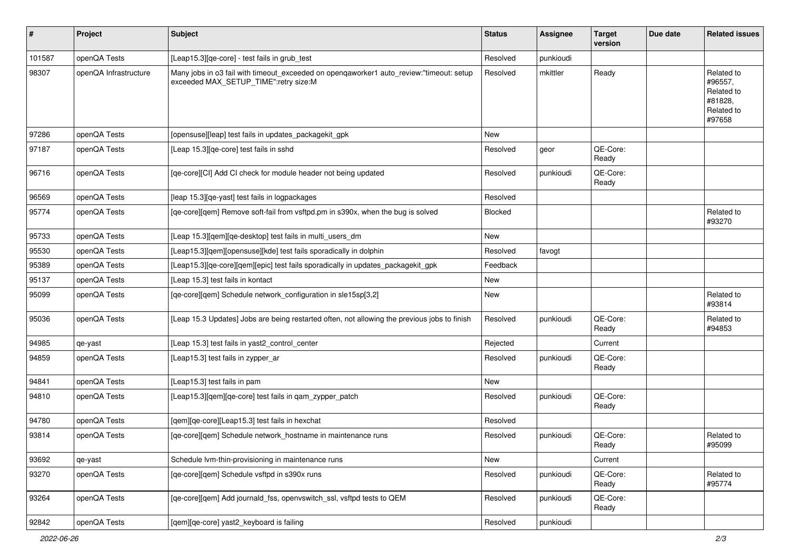| #      | Project               | Subject                                                                                                                          | <b>Status</b> | <b>Assignee</b> | <b>Target</b><br>version | Due date | <b>Related issues</b>                                                  |
|--------|-----------------------|----------------------------------------------------------------------------------------------------------------------------------|---------------|-----------------|--------------------------|----------|------------------------------------------------------------------------|
| 101587 | openQA Tests          | [Leap15.3][qe-core] - test fails in grub_test                                                                                    | Resolved      | punkioudi       |                          |          |                                                                        |
| 98307  | openQA Infrastructure | Many jobs in o3 fail with timeout_exceeded on openqaworker1 auto_review:"timeout: setup<br>exceeded MAX_SETUP_TIME":retry size:M | Resolved      | mkittler        | Ready                    |          | Related to<br>#96557,<br>Related to<br>#81828,<br>Related to<br>#97658 |
| 97286  | openQA Tests          | [opensuse][leap] test fails in updates_packagekit_gpk                                                                            | New           |                 |                          |          |                                                                        |
| 97187  | openQA Tests          | [Leap 15.3][qe-core] test fails in sshd                                                                                          | Resolved      | geor            | QE-Core:<br>Ready        |          |                                                                        |
| 96716  | openQA Tests          | [qe-core][CI] Add CI check for module header not being updated                                                                   | Resolved      | punkioudi       | QE-Core:<br>Ready        |          |                                                                        |
| 96569  | openQA Tests          | [leap 15.3][qe-yast] test fails in logpackages                                                                                   | Resolved      |                 |                          |          |                                                                        |
| 95774  | openQA Tests          | [qe-core][qem] Remove soft-fail from vsftpd.pm in s390x, when the bug is solved                                                  | Blocked       |                 |                          |          | Related to<br>#93270                                                   |
| 95733  | openQA Tests          | [Leap 15.3][qem][qe-desktop] test fails in multi_users_dm                                                                        | <b>New</b>    |                 |                          |          |                                                                        |
| 95530  | openQA Tests          | [Leap15.3][qem][opensuse][kde] test fails sporadically in dolphin                                                                | Resolved      | favogt          |                          |          |                                                                        |
| 95389  | openQA Tests          | [Leap15.3][qe-core][qem][epic] test fails sporadically in updates_packagekit_gpk                                                 | Feedback      |                 |                          |          |                                                                        |
| 95137  | openQA Tests          | [Leap 15.3] test fails in kontact                                                                                                | New           |                 |                          |          |                                                                        |
| 95099  | openQA Tests          | [qe-core][qem] Schedule network_configuration in sle15sp[3,2]                                                                    | New           |                 |                          |          | Related to<br>#93814                                                   |
| 95036  | openQA Tests          | [Leap 15.3 Updates] Jobs are being restarted often, not allowing the previous jobs to finish                                     | Resolved      | punkioudi       | QE-Core:<br>Ready        |          | Related to<br>#94853                                                   |
| 94985  | qe-yast               | [Leap 15.3] test fails in yast2_control_center                                                                                   | Rejected      |                 | Current                  |          |                                                                        |
| 94859  | openQA Tests          | [Leap15.3] test fails in zypper_ar                                                                                               | Resolved      | punkioudi       | QE-Core:<br>Ready        |          |                                                                        |
| 94841  | openQA Tests          | [Leap15.3] test fails in pam                                                                                                     | New           |                 |                          |          |                                                                        |
| 94810  | openQA Tests          | [Leap15.3][qem][qe-core] test fails in qam_zypper_patch                                                                          | Resolved      | punkioudi       | QE-Core:<br>Ready        |          |                                                                        |
| 94780  | openQA Tests          | [qem][qe-core][Leap15.3] test fails in hexchat                                                                                   | Resolved      |                 |                          |          |                                                                        |
| 93814  | openQA Tests          | [qe-core][qem] Schedule network_hostname in maintenance runs                                                                     | Resolved      | punkioudi       | QE-Core:<br>Ready        |          | Related to<br>#95099                                                   |
| 93692  | qe-yast               | Schedule Ivm-thin-provisioning in maintenance runs                                                                               | New           |                 | Current                  |          |                                                                        |
| 93270  | openQA Tests          | [ge-core][gem] Schedule vsftpd in s390x runs                                                                                     | Resolved      | punkioudi       | QE-Core:<br>Ready        |          | Related to<br>#95774                                                   |
| 93264  | openQA Tests          | [qe-core][qem] Add journald_fss, openvswitch_ssl, vsftpd tests to QEM                                                            | Resolved      | punkioudi       | QE-Core:<br>Ready        |          |                                                                        |
| 92842  | openQA Tests          | [qem][qe-core] yast2_keyboard is failing                                                                                         | Resolved      | punkioudi       |                          |          |                                                                        |